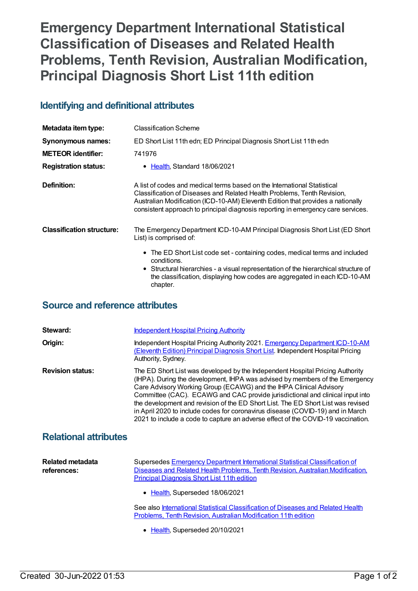## **Emergency Department International Statistical Classification of Diseases and Related Health Problems, Tenth Revision, Australian Modification, Principal Diagnosis Short List 11th edition**

## **Identifying and definitional attributes**

| Metadata item type:              | <b>Classification Scheme</b>                                                                                                                                                                                                                                                                                               |
|----------------------------------|----------------------------------------------------------------------------------------------------------------------------------------------------------------------------------------------------------------------------------------------------------------------------------------------------------------------------|
| Synonymous names:                | ED Short List 11th edn; ED Principal Diagnosis Short List 11th edn                                                                                                                                                                                                                                                         |
| <b>METEOR</b> identifier:        | 741976                                                                                                                                                                                                                                                                                                                     |
| <b>Registration status:</b>      | • Health, Standard 18/06/2021                                                                                                                                                                                                                                                                                              |
| Definition:                      | A list of codes and medical terms based on the International Statistical<br>Classification of Diseases and Related Health Problems, Tenth Revision,<br>Australian Modification (ICD-10-AM) Eleventh Edition that provides a nationally<br>consistent approach to principal diagnosis reporting in emergency care services. |
| <b>Classification structure:</b> | The Emergency Department ICD-10-AM Principal Diagnosis Short List (ED Short<br>List) is comprised of:                                                                                                                                                                                                                      |
|                                  | • The ED Short List code set - containing codes, medical terms and included<br>conditions.<br>• Structural hierarchies - a visual representation of the hierarchical structure of<br>the classification, displaying how codes are aggregated in each ICD-10-AM<br>chapter.                                                 |

## **Source and reference attributes**

| Steward:                | <b>Independent Hospital Pricing Authority</b>                                                                                                                                                                                                                                                                                                                                                                                                                                                                                                                                  |
|-------------------------|--------------------------------------------------------------------------------------------------------------------------------------------------------------------------------------------------------------------------------------------------------------------------------------------------------------------------------------------------------------------------------------------------------------------------------------------------------------------------------------------------------------------------------------------------------------------------------|
| Origin:                 | Independent Hospital Pricing Authority 2021. Emergency Department ICD-10-AM<br>(Eleventh Edition) Principal Diagnosis Short List. Independent Hospital Pricing<br>Authority, Sydney.                                                                                                                                                                                                                                                                                                                                                                                           |
| <b>Revision status:</b> | The ED Short List was developed by the Independent Hospital Pricing Authority<br>(IHPA). During the development, IHPA was advised by members of the Emergency<br>Care Advisory Working Group (ECAWG) and the IHPA Clinical Advisory<br>Committee (CAC). ECAWG and CAC provide jurisdictional and clinical input into<br>the development and revision of the ED Short List. The ED Short List was revised<br>in April 2020 to include codes for coronavirus disease (COVID-19) and in March<br>2021 to include a code to capture an adverse effect of the COVID-19 vaccination. |

## **Relational attributes**

| Related metadata<br>references: | Supersedes Emergency Department International Statistical Classification of<br>Diseases and Related Health Problems, Tenth Revision, Australian Modification,<br><b>Principal Diagnosis Short List 11th edition</b> |
|---------------------------------|---------------------------------------------------------------------------------------------------------------------------------------------------------------------------------------------------------------------|
|                                 | • Health, Superseded 18/06/2021                                                                                                                                                                                     |
|                                 | See also International Statistical Classification of Diseases and Related Health<br>Problems, Tenth Revision, Australian Modification 11th edition                                                                  |

• [Health](https://meteor.aihw.gov.au/RegistrationAuthority/12), Superseded 20/10/2021